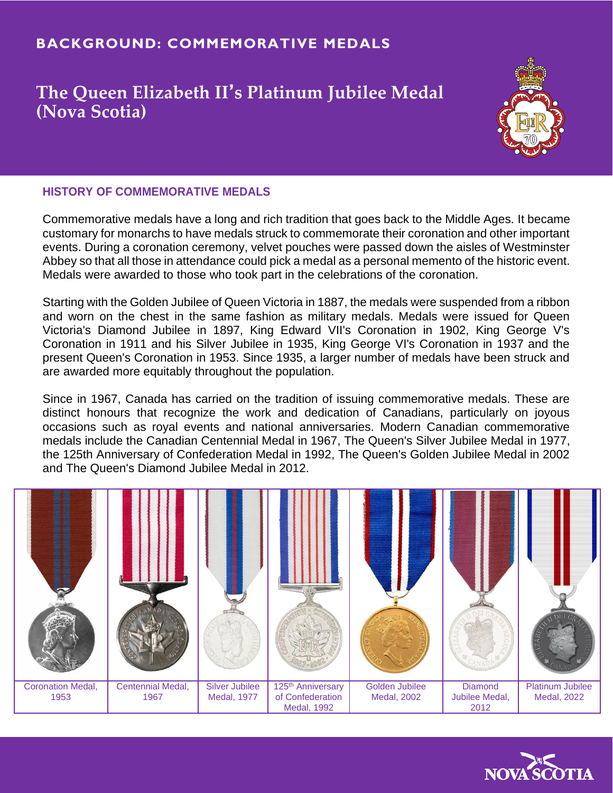# **The Queen Elizabeth II**' **s Platinum Jubilee Medal (Nova Scotia)**



## **HISTORY OF COMMEMORATIVE MEDALS**

Commemorative medals have a long and rich tradition that goes back to the Middle Ages. It became customary for monarchs to have medals struck to commemorate their coronation and other important events. During a coronation ceremony, velvet pouches were passed down the aisles of Westminster Abbey so that all those in attendance could pick a medal as a personal memento of the historic event. Medals were awarded to those who took part in the celebrations of the coronation.

Starting with the Golden Jubilee of Queen Victoria in 1887, the medals were suspended from a ribbon and worn on the chest in the same fashion as military medals. Medals were issued for Queen Victoria's Diamond Jubilee in 1897, King Edward VII's Coronation in 1902, King George V's Coronation in 1911 and his Silver Jubilee in 1935, King George VI's Coronation in 1937 and the present Queen's Coronation in 1953. Since 1935, a larger number of medals have been struck and are awarded more equitably throughout the population.

Since in 1967, Canada has carried on the tradition of issuing commemorative medals. These are distinct honours that recognize the work and dedication of Canadians, particularly on joyous occasions such as royal events and national anniversaries. Modern Canadian commemorative medals include the Canadian Centennial Medal in 1967, The Queen's Silver Jubilee Medal in 1977, the 125th Anniversary of Confederation Medal in 1992, The Queen's Golden Jubilee Medal in 2002 and The Queen's Diamond Jubilee Medal in 2012.